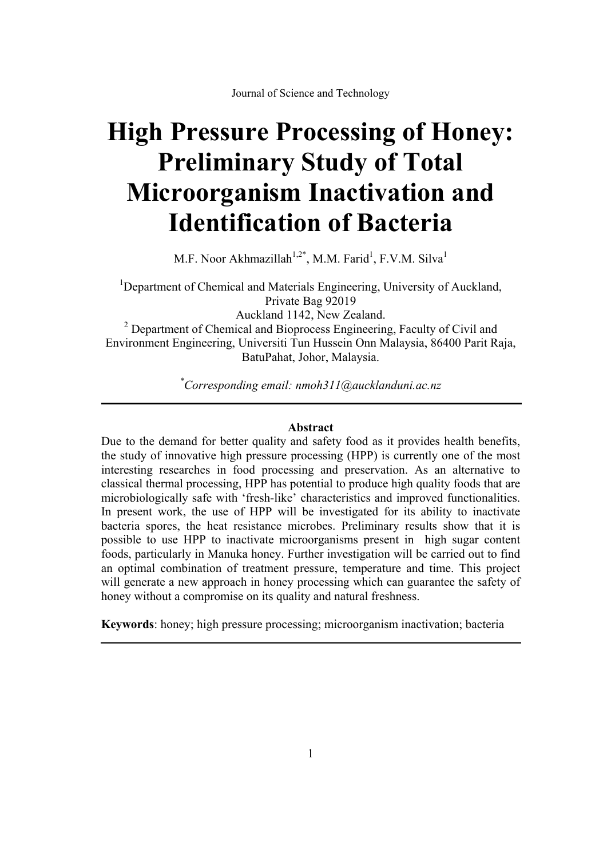# **High Pressure Processing of Honey: Preliminary Study of Total Microorganism Inactivation and Identification of Bacteria**

M.F. Noor Akhmazillah $^{1,2^*}$ , M.M. Farid<sup>1</sup>, F.V.M. Silva<sup>1</sup>

<sup>1</sup>Department of Chemical and Materials Engineering, University of Auckland, Private Bag 92019 Auckland 1142, New Zealand.

 $2$  Department of Chemical and Bioprocess Engineering, Faculty of Civil and Environment Engineering, Universiti Tun Hussein Onn Malaysia, 86400 Parit Raja, BatuPahat, Johor, Malaysia.

*\* Corresponding email: nmoh311@aucklanduni.ac.nz* 

## **Abstract**

Due to the demand for better quality and safety food as it provides health benefits, the study of innovative high pressure processing (HPP) is currently one of the most interesting researches in food processing and preservation. As an alternative to classical thermal processing, HPP has potential to produce high quality foods that are microbiologically safe with 'fresh-like' characteristics and improved functionalities. In present work, the use of HPP will be investigated for its ability to inactivate bacteria spores, the heat resistance microbes. Preliminary results show that it is possible to use HPP to inactivate microorganisms present in high sugar content foods, particularly in Manuka honey. Further investigation will be carried out to find an optimal combination of treatment pressure, temperature and time. This project will generate a new approach in honey processing which can guarantee the safety of honey without a compromise on its quality and natural freshness.

**Keywords**: honey; high pressure processing; microorganism inactivation; bacteria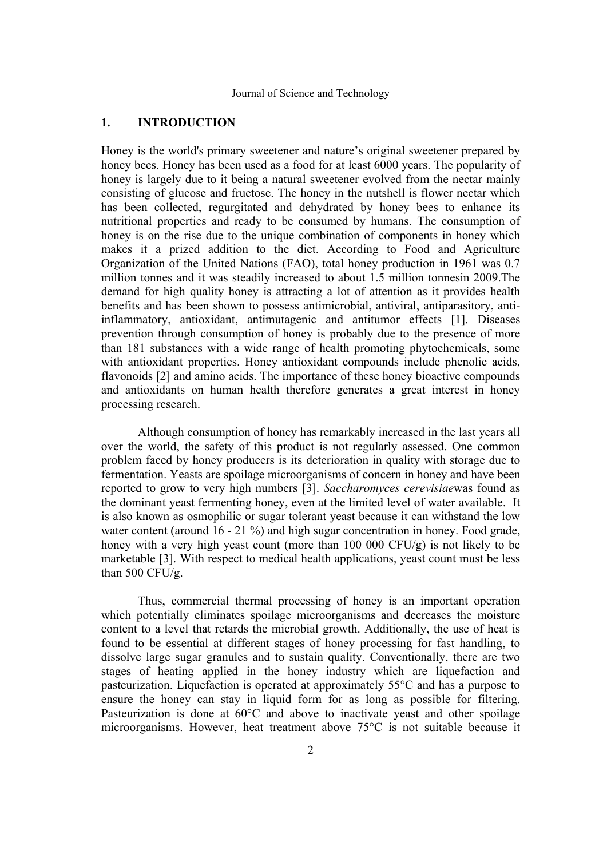# **1. INTRODUCTION**

Honey is the world's primary sweetener and nature's original sweetener prepared by honey bees. Honey has been used as a food for at least 6000 years. The popularity of honey is largely due to it being a natural sweetener evolved from the nectar mainly consisting of glucose and fructose. The honey in the nutshell is flower nectar which has been collected, regurgitated and dehydrated by honey bees to enhance its nutritional properties and ready to be consumed by humans. The consumption of honey is on the rise due to the unique combination of components in honey which makes it a prized addition to the diet. According to Food and Agriculture Organization of the United Nations (FAO), total honey production in 1961 was 0.7 million tonnes and it was steadily increased to about 1.5 million tonnesin 2009.The demand for high quality honey is attracting a lot of attention as it provides health benefits and has been shown to possess antimicrobial, antiviral, antiparasitory, antiinflammatory, antioxidant, antimutagenic and antitumor effects [1]. Diseases prevention through consumption of honey is probably due to the presence of more than 181 substances with a wide range of health promoting phytochemicals, some with antioxidant properties. Honey antioxidant compounds include phenolic acids, flavonoids [2] and amino acids. The importance of these honey bioactive compounds and antioxidants on human health therefore generates a great interest in honey processing research.

 Although consumption of honey has remarkably increased in the last years all over the world, the safety of this product is not regularly assessed. One common problem faced by honey producers is its deterioration in quality with storage due to fermentation. Yeasts are spoilage microorganisms of concern in honey and have been reported to grow to very high numbers [3]. *Saccharomyces cerevisiae*was found as the dominant yeast fermenting honey, even at the limited level of water available. It is also known as osmophilic or sugar tolerant yeast because it can withstand the low water content (around 16 - 21 %) and high sugar concentration in honey. Food grade, honey with a very high yeast count (more than 100 000 CFU/g) is not likely to be marketable [3]. With respect to medical health applications, yeast count must be less than 500 CFU/g.

 Thus, commercial thermal processing of honey is an important operation which potentially eliminates spoilage microorganisms and decreases the moisture content to a level that retards the microbial growth. Additionally, the use of heat is found to be essential at different stages of honey processing for fast handling, to dissolve large sugar granules and to sustain quality. Conventionally, there are two stages of heating applied in the honey industry which are liquefaction and pasteurization. Liquefaction is operated at approximately 55°C and has a purpose to ensure the honey can stay in liquid form for as long as possible for filtering. Pasteurization is done at 60°C and above to inactivate yeast and other spoilage microorganisms. However, heat treatment above 75°C is not suitable because it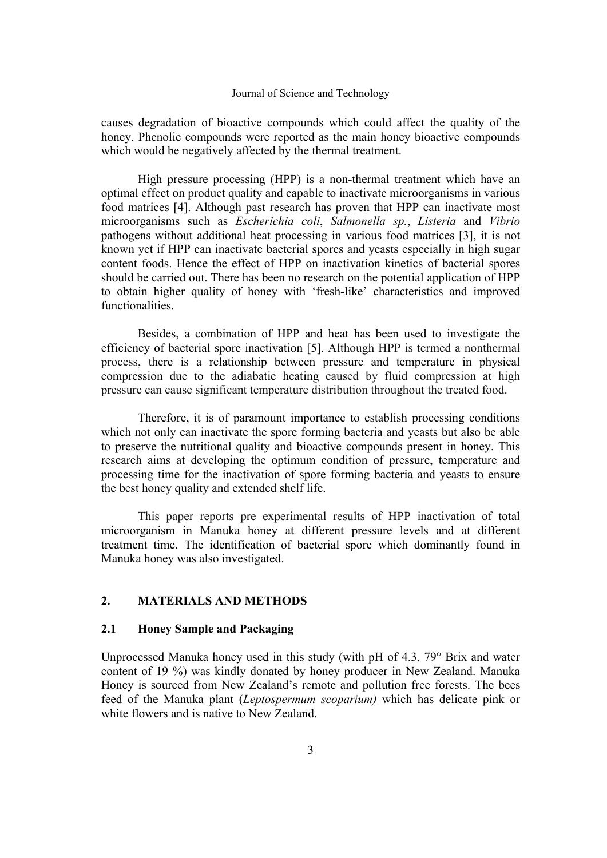causes degradation of bioactive compounds which could affect the quality of the honey. Phenolic compounds were reported as the main honey bioactive compounds which would be negatively affected by the thermal treatment.

 High pressure processing (HPP) is a non-thermal treatment which have an optimal effect on product quality and capable to inactivate microorganisms in various food matrices [4]. Although past research has proven that HPP can inactivate most microorganisms such as *Escherichia coli*, *Salmonella sp.*, *Listeria* and *Vibrio* pathogens without additional heat processing in various food matrices [3], it is not known yet if HPP can inactivate bacterial spores and yeasts especially in high sugar content foods. Hence the effect of HPP on inactivation kinetics of bacterial spores should be carried out. There has been no research on the potential application of HPP to obtain higher quality of honey with 'fresh-like' characteristics and improved functionalities.

 Besides, a combination of HPP and heat has been used to investigate the efficiency of bacterial spore inactivation [5]. Although HPP is termed a nonthermal process, there is a relationship between pressure and temperature in physical compression due to the adiabatic heating caused by fluid compression at high pressure can cause significant temperature distribution throughout the treated food.

 Therefore, it is of paramount importance to establish processing conditions which not only can inactivate the spore forming bacteria and yeasts but also be able to preserve the nutritional quality and bioactive compounds present in honey. This research aims at developing the optimum condition of pressure, temperature and processing time for the inactivation of spore forming bacteria and yeasts to ensure the best honey quality and extended shelf life.

 This paper reports pre experimental results of HPP inactivation of total microorganism in Manuka honey at different pressure levels and at different treatment time. The identification of bacterial spore which dominantly found in Manuka honey was also investigated.

# **2. MATERIALS AND METHODS**

# **2.1 Honey Sample and Packaging**

Unprocessed Manuka honey used in this study (with pH of 4.3, 79° Brix and water content of 19 %) was kindly donated by honey producer in New Zealand. Manuka Honey is sourced from New Zealand's remote and pollution free forests. The bees feed of the Manuka plant (*Leptospermum scoparium)* which has delicate pink or white flowers and is native to New Zealand.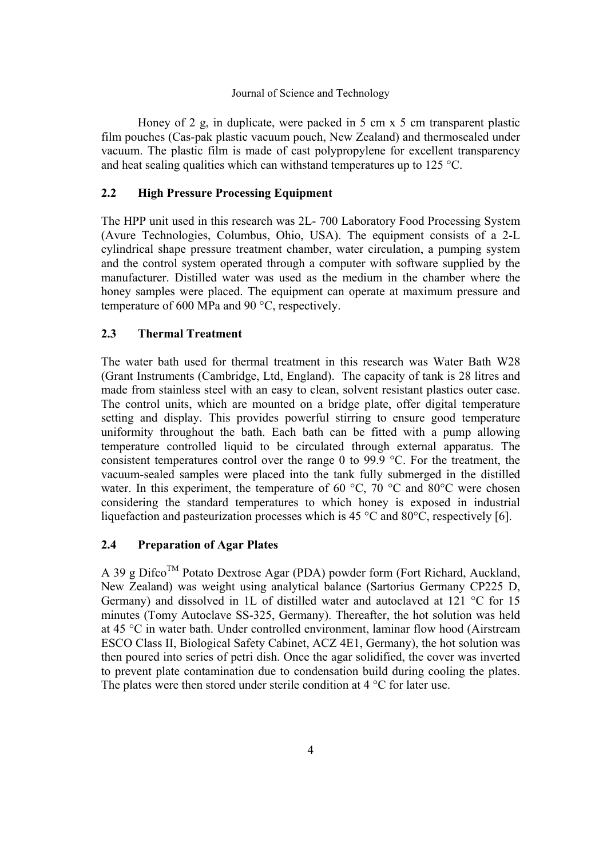Honey of 2 g, in duplicate, were packed in 5 cm x 5 cm transparent plastic film pouches (Cas-pak plastic vacuum pouch, New Zealand) and thermosealed under vacuum. The plastic film is made of cast polypropylene for excellent transparency and heat sealing qualities which can withstand temperatures up to 125 °C.

# **2.2 High Pressure Processing Equipment**

The HPP unit used in this research was 2L- 700 Laboratory Food Processing System (Avure Technologies, Columbus, Ohio, USA). The equipment consists of a 2-L cylindrical shape pressure treatment chamber, water circulation, a pumping system and the control system operated through a computer with software supplied by the manufacturer. Distilled water was used as the medium in the chamber where the honey samples were placed. The equipment can operate at maximum pressure and temperature of 600 MPa and 90 °C, respectively.

# **2.3 Thermal Treatment**

The water bath used for thermal treatment in this research was Water Bath W28 (Grant Instruments (Cambridge, Ltd, England). The capacity of tank is 28 litres and made from stainless steel with an easy to clean, solvent resistant plastics outer case. The control units, which are mounted on a bridge plate, offer digital temperature setting and display. This provides powerful stirring to ensure good temperature uniformity throughout the bath. Each bath can be fitted with a pump allowing temperature controlled liquid to be circulated through external apparatus. The consistent temperatures control over the range 0 to 99.9 °C. For the treatment, the vacuum-sealed samples were placed into the tank fully submerged in the distilled water. In this experiment, the temperature of 60  $^{\circ}$ C, 70  $^{\circ}$ C and 80 $^{\circ}$ C were chosen considering the standard temperatures to which honey is exposed in industrial liquefaction and pasteurization processes which is 45 °C and 80°C, respectively [6].

# **2.4 Preparation of Agar Plates**

A 39 g Difco<sup>TM</sup> Potato Dextrose Agar (PDA) powder form (Fort Richard, Auckland, New Zealand) was weight using analytical balance (Sartorius Germany CP225 D, Germany) and dissolved in 1L of distilled water and autoclaved at 121 °C for 15 minutes (Tomy Autoclave SS-325, Germany). Thereafter, the hot solution was held at 45 °C in water bath. Under controlled environment, laminar flow hood (Airstream ESCO Class II, Biological Safety Cabinet, ACZ 4E1, Germany), the hot solution was then poured into series of petri dish. Once the agar solidified, the cover was inverted to prevent plate contamination due to condensation build during cooling the plates. The plates were then stored under sterile condition at 4 °C for later use.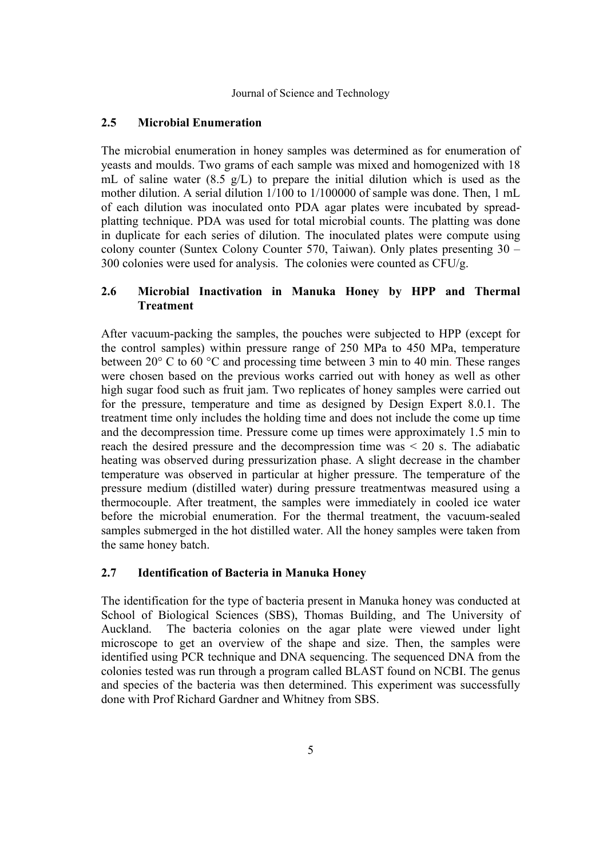# **2.5 Microbial Enumeration**

The microbial enumeration in honey samples was determined as for enumeration of yeasts and moulds. Two grams of each sample was mixed and homogenized with 18 mL of saline water (8.5 g/L) to prepare the initial dilution which is used as the mother dilution. A serial dilution 1/100 to 1/100000 of sample was done. Then, 1 mL of each dilution was inoculated onto PDA agar plates were incubated by spreadplatting technique. PDA was used for total microbial counts. The platting was done in duplicate for each series of dilution. The inoculated plates were compute using colony counter (Suntex Colony Counter 570, Taiwan). Only plates presenting 30 – 300 colonies were used for analysis. The colonies were counted as  $CFU/g$ .

# **2.6 Microbial Inactivation in Manuka Honey by HPP and Thermal Treatment**

After vacuum-packing the samples, the pouches were subjected to HPP (except for the control samples) within pressure range of 250 MPa to 450 MPa, temperature between 20° C to 60 °C and processing time between 3 min to 40 min. These ranges were chosen based on the previous works carried out with honey as well as other high sugar food such as fruit jam. Two replicates of honey samples were carried out for the pressure, temperature and time as designed by Design Expert 8.0.1. The treatment time only includes the holding time and does not include the come up time and the decompression time. Pressure come up times were approximately 1.5 min to reach the desired pressure and the decompression time was  $\leq$  20 s. The adiabatic heating was observed during pressurization phase. A slight decrease in the chamber temperature was observed in particular at higher pressure. The temperature of the pressure medium (distilled water) during pressure treatmentwas measured using a thermocouple. After treatment, the samples were immediately in cooled ice water before the microbial enumeration. For the thermal treatment, the vacuum-sealed samples submerged in the hot distilled water. All the honey samples were taken from the same honey batch.

# **2.7 Identification of Bacteria in Manuka Honey**

The identification for the type of bacteria present in Manuka honey was conducted at School of Biological Sciences (SBS), Thomas Building, and The University of Auckland. The bacteria colonies on the agar plate were viewed under light microscope to get an overview of the shape and size. Then, the samples were identified using PCR technique and DNA sequencing. The sequenced DNA from the colonies tested was run through a program called BLAST found on NCBI. The genus and species of the bacteria was then determined. This experiment was successfully done with Prof Richard Gardner and Whitney from SBS.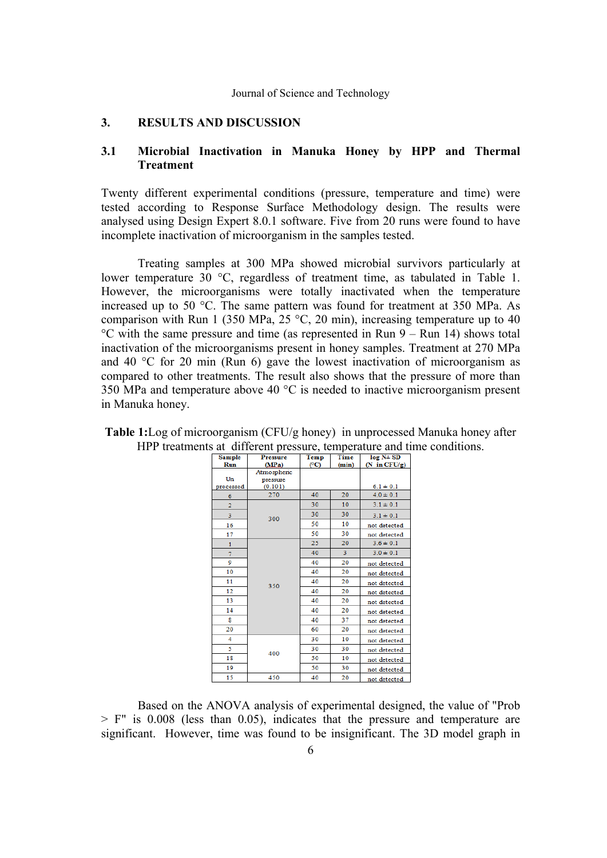## **3. RESULTS AND DISCUSSION**

## **3.1 Microbial Inactivation in Manuka Honey by HPP and Thermal Treatment**

Twenty different experimental conditions (pressure, temperature and time) were tested according to Response Surface Methodology design. The results were analysed using Design Expert 8.0.1 software. Five from 20 runs were found to have incomplete inactivation of microorganism in the samples tested.

 Treating samples at 300 MPa showed microbial survivors particularly at lower temperature 30 °C, regardless of treatment time, as tabulated in Table 1. However, the microorganisms were totally inactivated when the temperature increased up to 50 °C. The same pattern was found for treatment at 350 MPa. As comparison with Run 1 (350 MPa, 25 °C, 20 min), increasing temperature up to 40 °C with the same pressure and time (as represented in Run 9 – Run 14) shows total inactivation of the microorganisms present in honey samples. Treatment at 270 MPa and 40 °C for 20 min (Run 6) gave the lowest inactivation of microorganism as compared to other treatments. The result also shows that the pressure of more than 350 MPa and temperature above 40 °C is needed to inactive microorganism present in Manuka honey.

| Sample       | <b>Pressure</b> | Temp | Time  | $log N + SD$    |
|--------------|-----------------|------|-------|-----------------|
| Run          | (MPa)           | (°C) | (min) | $(N \in CFU/g)$ |
|              | Atmospheric     |      |       |                 |
| Un           | pressure        |      |       |                 |
| processed    | (0.101)         |      |       | $6.1 \pm 0.1$   |
| 6            | 270             | 40   | 20    | $4.0 \pm 0.1$   |
| 2            |                 | 30   | 10    | $3.1 \pm 0.1$   |
| 3            | 300             | 30   | 30    | $3.1 \pm 0.1$   |
| 16           |                 | 50   | 10    | not detected    |
| 17           |                 | 50   | 30    | not detected    |
| $\mathbf{1}$ | 350             | 25   | 20    | $3.6 \pm 0.1$   |
| 7            |                 | 40   | 3     | $3.0 \pm 0.1$   |
| 9            |                 | 40   | 20    | not detected    |
| 10           |                 | 40   | 20    | not detected    |
| 11           |                 | 40   | 20    | not detected    |
| 12           |                 | 40   | 20    | not detected    |
| 13           |                 | 40   | 20    | not detected    |
| 14           |                 | 40   | 20    | not detected    |
| 8            |                 | 40   | 37    | not detected    |
| 20           |                 | 60   | 20    | not detected    |
| 4            | 400             | 30   | 10    | not detected    |
| 5            |                 | 30   | 30    | not detected    |
| 18           |                 | 50   | 10    | not detected    |
| 19           |                 | 50   | 30    | not detected    |
| 15           | 450             | 40   | 20    | not detected    |

| <b>Table 1:</b> Log of microorganism (CFU/g honey) in unprocessed Manuka honey after |  |
|--------------------------------------------------------------------------------------|--|
| HPP treatments at different pressure, temperature and time conditions.               |  |

 Based on the ANOVA analysis of experimental designed, the value of "Prob  $>$  F" is 0.008 (less than 0.05), indicates that the pressure and temperature are significant. However, time was found to be insignificant. The 3D model graph in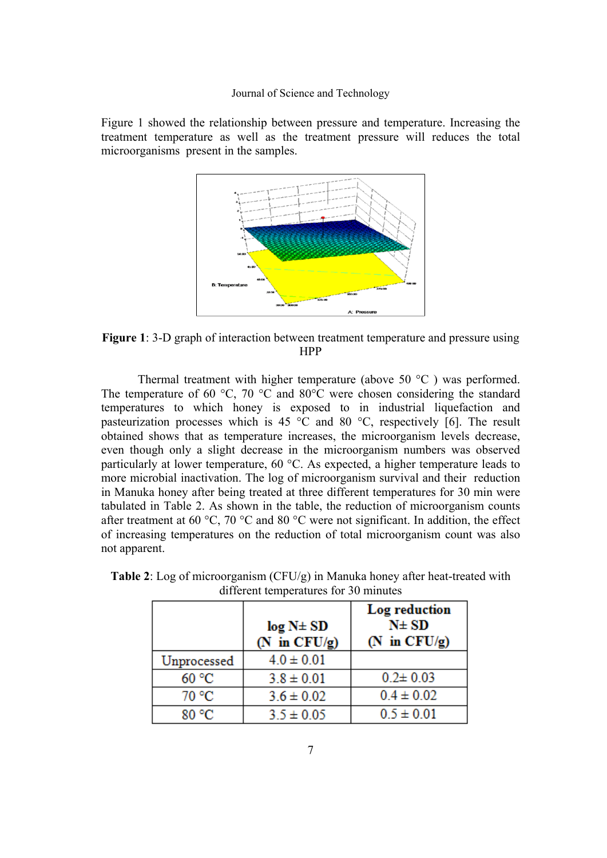Figure 1 showed the relationship between pressure and temperature. Increasing the treatment temperature as well as the treatment pressure will reduces the total microorganisms present in the samples.



**Figure 1**: 3-D graph of interaction between treatment temperature and pressure using HPP

 Thermal treatment with higher temperature (above 50 °C ) was performed. The temperature of 60 °C, 70 °C and 80°C were chosen considering the standard temperatures to which honey is exposed to in industrial liquefaction and pasteurization processes which is 45  $\degree$ C and 80  $\degree$ C, respectively [6]. The result obtained shows that as temperature increases, the microorganism levels decrease, even though only a slight decrease in the microorganism numbers was observed particularly at lower temperature, 60 °C. As expected, a higher temperature leads to more microbial inactivation. The log of microorganism survival and their reduction in Manuka honey after being treated at three different temperatures for 30 min were tabulated in Table 2. As shown in the table, the reduction of microorganism counts after treatment at 60 °C, 70 °C and 80 °C were not significant. In addition, the effect of increasing temperatures on the reduction of total microorganism count was also not apparent.

|             | log N± SD<br>(N in $CFU/g$ ) | Log reduction<br>$N\pm SD$<br>(N in CFU/g) |
|-------------|------------------------------|--------------------------------------------|
| Unprocessed | $4.0 \pm 0.01$               |                                            |
| 60 °C       | $3.8 \pm 0.01$               | $0.2 \pm 0.03$                             |
| 70 °C       | $3.6 \pm 0.02$               | $0.4 \pm 0.02$                             |
| 80 °C       | $3.5 \pm 0.05$               | $0.5 \pm 0.01$                             |

**Table 2**: Log of microorganism (CFU/g) in Manuka honey after heat-treated with different temperatures for 30 minutes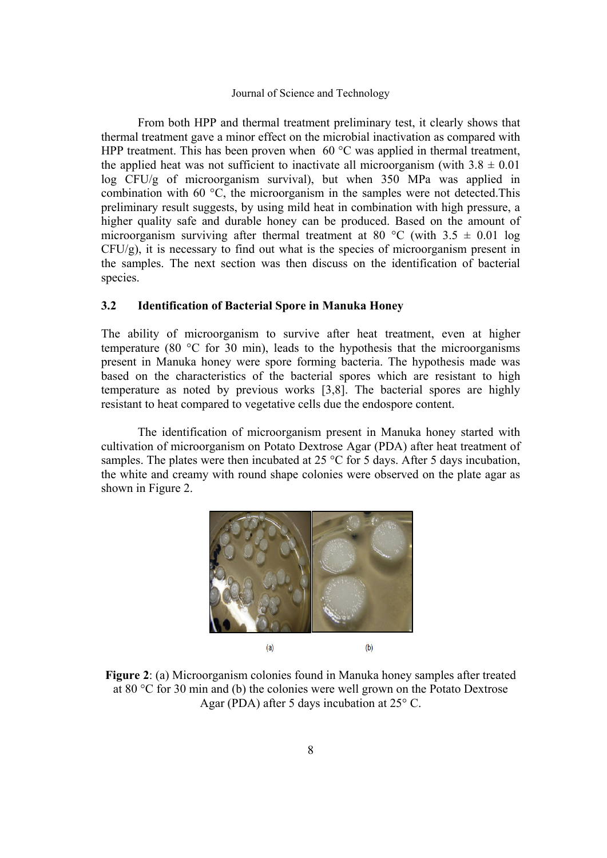From both HPP and thermal treatment preliminary test, it clearly shows that thermal treatment gave a minor effect on the microbial inactivation as compared with HPP treatment. This has been proven when  $60^{\circ}$ C was applied in thermal treatment, the applied heat was not sufficient to inactivate all microorganism (with  $3.8 \pm 0.01$ ) log CFU/g of microorganism survival), but when 350 MPa was applied in combination with 60 °C, the microorganism in the samples were not detected.This preliminary result suggests, by using mild heat in combination with high pressure, a higher quality safe and durable honey can be produced. Based on the amount of microorganism surviving after thermal treatment at 80 °C (with  $3.5 \pm 0.01$  log CFU/g), it is necessary to find out what is the species of microorganism present in the samples. The next section was then discuss on the identification of bacterial species.

## **3.2 Identification of Bacterial Spore in Manuka Honey**

The ability of microorganism to survive after heat treatment, even at higher temperature (80 °C for 30 min), leads to the hypothesis that the microorganisms present in Manuka honey were spore forming bacteria. The hypothesis made was based on the characteristics of the bacterial spores which are resistant to high temperature as noted by previous works [3,8]. The bacterial spores are highly resistant to heat compared to vegetative cells due the endospore content.

 The identification of microorganism present in Manuka honey started with cultivation of microorganism on Potato Dextrose Agar (PDA) after heat treatment of samples. The plates were then incubated at 25 °C for 5 days. After 5 days incubation, the white and creamy with round shape colonies were observed on the plate agar as shown in Figure 2.



**Figure 2**: (a) Microorganism colonies found in Manuka honey samples after treated at 80 °C for 30 min and (b) the colonies were well grown on the Potato Dextrose Agar (PDA) after 5 days incubation at 25° C.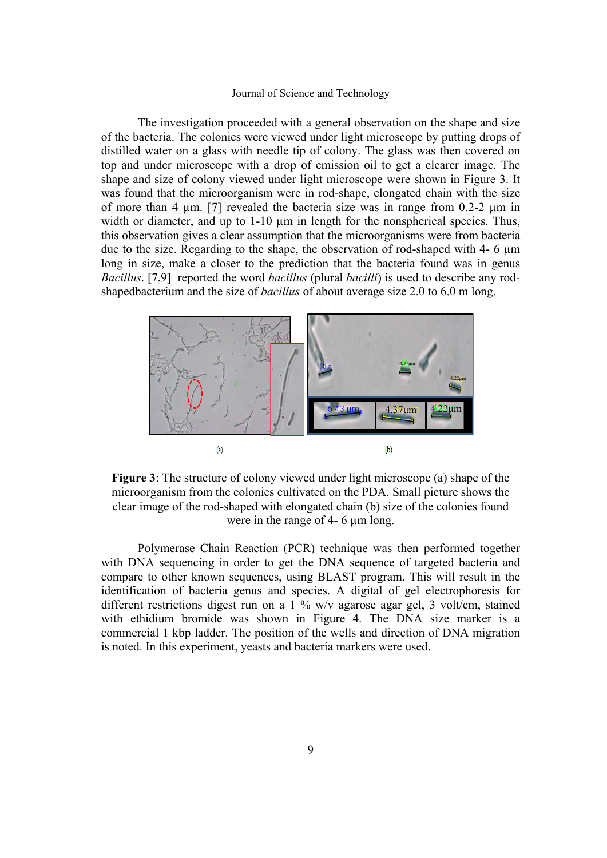The investigation proceeded with a general observation on the shape and size of the bacteria. The colonies were viewed under light microscope by putting drops of distilled water on a glass with needle tip of colony. The glass was then covered on top and under microscope with a drop of emission oil to get a clearer image. The shape and size of colony viewed under light microscope were shown in Figure 3. It was found that the microorganism were in rod-shape, elongated chain with the size of more than 4  $\mu$ m. [7] revealed the bacteria size was in range from 0.2-2  $\mu$ m in width or diameter, and up to 1-10  $\mu$ m in length for the nonspherical species. Thus, this observation gives a clear assumption that the microorganisms were from bacteria due to the size. Regarding to the shape, the observation of rod-shaped with 4- 6 µm long in size, make a closer to the prediction that the bacteria found was in genus *Bacillus*. [7,9] reported the word *bacillus* (plural *bacilli*) is used to describe any rodshapedbacterium and the size of *bacillus* of about average size 2.0 to 6.0 m long.



**Figure 3**: The structure of colony viewed under light microscope (a) shape of the microorganism from the colonies cultivated on the PDA. Small picture shows the clear image of the rod-shaped with elongated chain (b) size of the colonies found were in the range of 4- 6 um long.

 Polymerase Chain Reaction (PCR) technique was then performed together with DNA sequencing in order to get the DNA sequence of targeted bacteria and compare to other known sequences, using BLAST program. This will result in the identification of bacteria genus and species. A digital of gel electrophoresis for different restrictions digest run on a 1 % w/v agarose agar gel, 3 volt/cm, stained with ethidium bromide was shown in Figure 4. The DNA size marker is a commercial 1 kbp ladder. The position of the wells and direction of DNA migration is noted. In this experiment, yeasts and bacteria markers were used.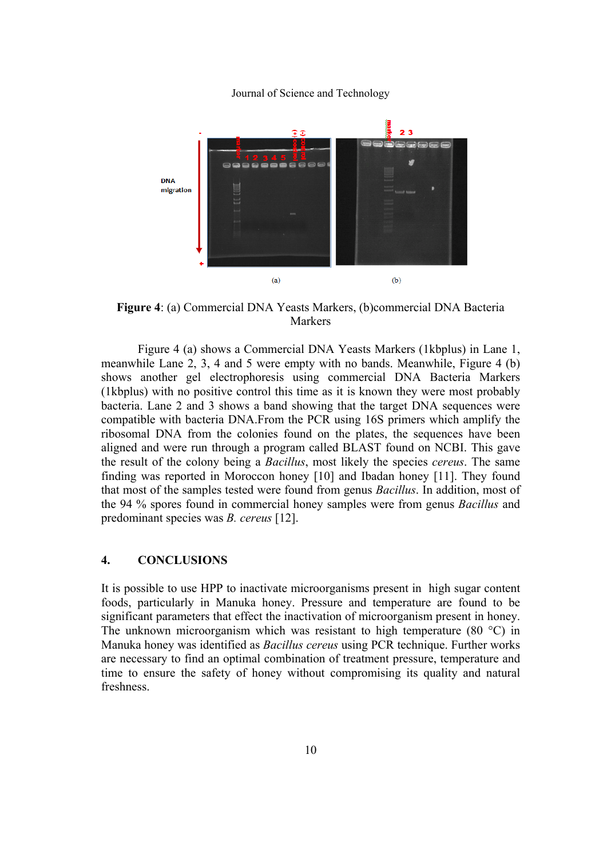

**Figure 4**: (a) Commercial DNA Yeasts Markers, (b)commercial DNA Bacteria **Markers** 

 Figure 4 (a) shows a Commercial DNA Yeasts Markers (1kbplus) in Lane 1, meanwhile Lane 2, 3, 4 and 5 were empty with no bands. Meanwhile, Figure 4 (b) shows another gel electrophoresis using commercial DNA Bacteria Markers (1kbplus) with no positive control this time as it is known they were most probably bacteria. Lane 2 and 3 shows a band showing that the target DNA sequences were compatible with bacteria DNA.From the PCR using 16S primers which amplify the ribosomal DNA from the colonies found on the plates, the sequences have been aligned and were run through a program called BLAST found on NCBI. This gave the result of the colony being a *Bacillus*, most likely the species *cereus*. The same finding was reported in Moroccon honey [10] and Ibadan honey [11]. They found that most of the samples tested were found from genus *Bacillus*. In addition, most of the 94 % spores found in commercial honey samples were from genus *Bacillus* and predominant species was *B. cereus* [12].

## **4. CONCLUSIONS**

It is possible to use HPP to inactivate microorganisms present in high sugar content foods, particularly in Manuka honey. Pressure and temperature are found to be significant parameters that effect the inactivation of microorganism present in honey. The unknown microorganism which was resistant to high temperature (80 °C) in Manuka honey was identified as *Bacillus cereus* using PCR technique. Further works are necessary to find an optimal combination of treatment pressure, temperature and time to ensure the safety of honey without compromising its quality and natural freshness.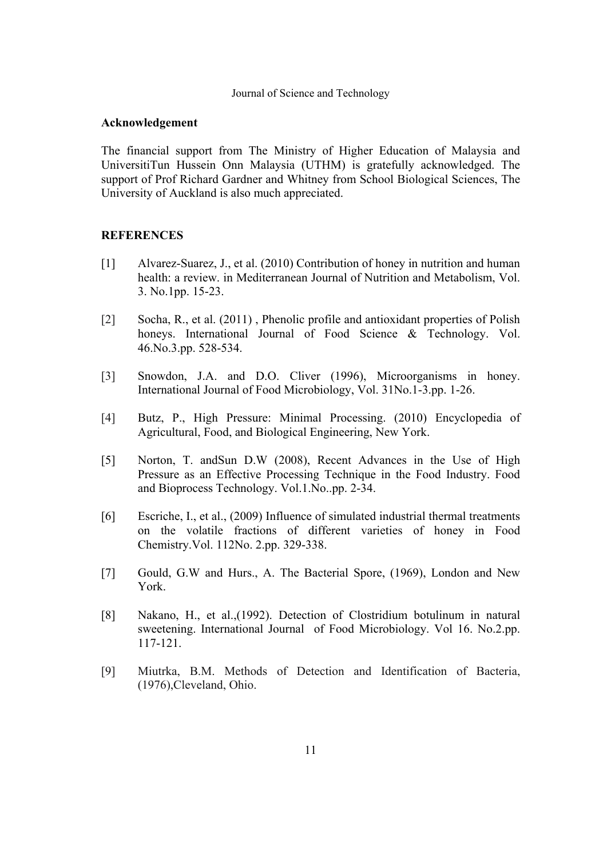## **Acknowledgement**

The financial support from The Ministry of Higher Education of Malaysia and UniversitiTun Hussein Onn Malaysia (UTHM) is gratefully acknowledged. The support of Prof Richard Gardner and Whitney from School Biological Sciences, The University of Auckland is also much appreciated.

## **REFERENCES**

- [1] Alvarez-Suarez, J., et al. (2010) Contribution of honey in nutrition and human health: a review. in Mediterranean Journal of Nutrition and Metabolism, Vol. 3. No.1pp. 15-23.
- [2] Socha, R., et al. (2011) , Phenolic profile and antioxidant properties of Polish honeys. International Journal of Food Science & Technology. Vol. 46.No.3.pp. 528-534.
- [3] Snowdon, J.A. and D.O. Cliver (1996), Microorganisms in honey. International Journal of Food Microbiology, Vol. 31No.1-3.pp. 1-26.
- [4] Butz, P., High Pressure: Minimal Processing. (2010) Encyclopedia of Agricultural, Food, and Biological Engineering, New York.
- [5] Norton, T. andSun D.W (2008), Recent Advances in the Use of High Pressure as an Effective Processing Technique in the Food Industry. Food and Bioprocess Technology. Vol.1.No..pp. 2-34.
- [6] Escriche, I., et al., (2009) Influence of simulated industrial thermal treatments on the volatile fractions of different varieties of honey in Food Chemistry.Vol. 112No. 2.pp. 329-338.
- [7] Gould, G.W and Hurs., A. The Bacterial Spore, (1969), London and New York.
- [8] Nakano, H., et al.,(1992). Detection of Clostridium botulinum in natural sweetening. International Journal of Food Microbiology. Vol 16. No.2.pp. 117-121.
- [9] Miutrka, B.M. Methods of Detection and Identification of Bacteria, (1976),Cleveland, Ohio.